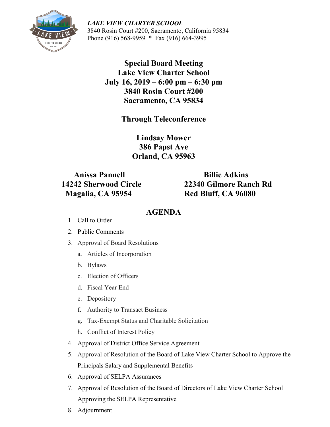

*LAKE VIEW CHARTER SCHOOL* 3840 Rosin Court #200, Sacramento, California 95834 Phone (916) 568-9959 \* Fax (916) 664-3995

> **Special Board Meeting Lake View Charter School July 16, 2019 – 6:00 pm – 6:30 pm 3840 Rosin Court #200 Sacramento, CA 95834**

> > **Through Teleconference**

**Lindsay Mower 386 Papst Ave Orland, CA 95963**

 **Anissa Pannell Billie Adkins Magalia, CA 95954 Red Bluff, CA 96080**

 **14242 Sherwood Circle 22340 Gilmore Ranch Rd**

## **AGENDA**

- 1. Call to Order
- 2. Public Comments
- 3. Approval of Board Resolutions
	- a. Articles of Incorporation
	- b. Bylaws
	- c. Election of Officers
	- d. Fiscal Year End
	- e. Depository
	- f. Authority to Transact Business
	- g. Tax-Exempt Status and Charitable Solicitation
	- h. Conflict of Interest Policy
- 4. Approval of District Office Service Agreement
- 5. Approval of Resolution of the Board of Lake View Charter School to Approve the Principals Salary and Supplemental Benefits
- 6. Approval of SELPA Assurances
- 7. Approval of Resolution of the Board of Directors of Lake View Charter School Approving the SELPA Representative
- 8. Adjournment